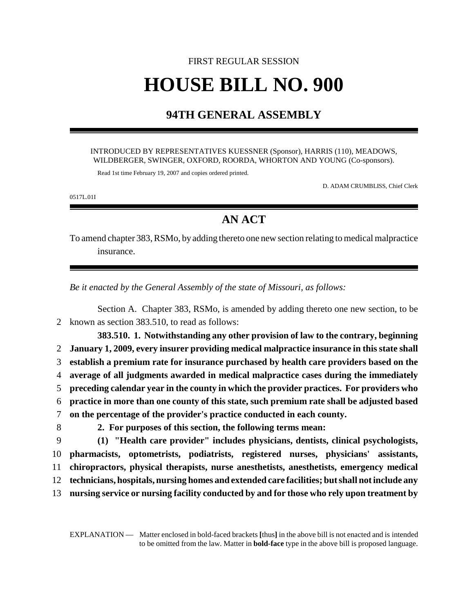## FIRST REGULAR SESSION **HOUSE BILL NO. 900**

## **94TH GENERAL ASSEMBLY**

## INTRODUCED BY REPRESENTATIVES KUESSNER (Sponsor), HARRIS (110), MEADOWS, WILDBERGER, SWINGER, OXFORD, ROORDA, WHORTON AND YOUNG (Co-sponsors).

Read 1st time February 19, 2007 and copies ordered printed.

D. ADAM CRUMBLISS, Chief Clerk

0517L.01I

## **AN ACT**

To amend chapter 383, RSMo, by adding thereto one new section relating to medical malpractice insurance.

*Be it enacted by the General Assembly of the state of Missouri, as follows:*

Section A. Chapter 383, RSMo, is amended by adding thereto one new section, to be 2 known as section 383.510, to read as follows:

**383.510. 1. Notwithstanding any other provision of law to the contrary, beginning January 1, 2009, every insurer providing medical malpractice insurance in this state shall establish a premium rate for insurance purchased by health care providers based on the average of all judgments awarded in medical malpractice cases during the immediately preceding calendar year in the county in which the provider practices. For providers who practice in more than one county of this state, such premium rate shall be adjusted based on the percentage of the provider's practice conducted in each county. 2. For purposes of this section, the following terms mean:**

 **(1) "Health care provider" includes physicians, dentists, clinical psychologists, pharmacists, optometrists, podiatrists, registered nurses, physicians' assistants, chiropractors, physical therapists, nurse anesthetists, anesthetists, emergency medical technicians, hospitals, nursing homes and extended care facilities; but shall not include any nursing service or nursing facility conducted by and for those who rely upon treatment by**